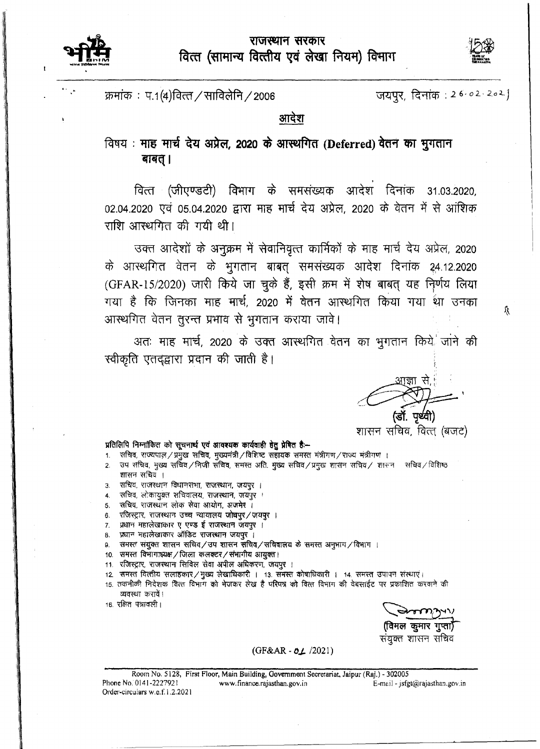## राजस्थान सरकार वित्त (सामान्य वित्तीय एवं लेखा नियम) विभाग





Ý.

क्रमांक: प.1(4)वित्त / साविलेनि / 2006

जयपूर, दिनांक: 26.02.202]

आदेश

## विषय: माह मार्च देय अप्रेल, 2020 के आस्थगित (Deferred) वेतन का मुगतान बाबत् ।

वित्त (जीएण्डटी) विभाग के समसंख्यक आदेश दिनांक 31.03.2020, 02.04.2020 एवं 05.04.2020 द्वारा माह मार्च देय अप्रेल, 2020 के वेतन में से आंशिक राशि आस्थगित की गयी थी।

उक्त आदेशों के अनुक्रम में सेवानिवृत्त कार्मिकों के माह मार्च देय अप्रेल, 2020 के आरथगित वेतन के भुगतान बाबत् समसंख्यक आदेश दिनांक 24.12.2020 (GFAR-15/2020) जारी किये जा चुके हैं, इसी क्रम में शेष बाबत् यह निर्णय लिया गया है कि जिनका माह मार्च, 2020 में वेतन आस्थगित किया गया था उनका आस्थगित वेतन तुरन्त प्रभाव से भुगतान कराया जावे।

अतः माह मार्च, 2020 के उक्त आस्थगित वेतन का भूगतान किये जाने की स्वीकृति एतदृद्वारा प्रदान की जाती है।

पर्थ्वी)

शासन सचिव, वित्त् (बजट)

## प्रतिलिपि निम्नांकित को सूचनार्थ एवं आवश्यक कार्यवाही हेतु प्रेषित है:--

- सचिव, राज्यपाल / प्रमुख सचिव, मुख्यमंत्री / विशिष्ट 'सहायक 'समस्त मंत्रीगण / राज्य मंत्रीगण)।  $\mathbf{1}$
- उप सचिव, मुख्य सचिव/निजी सचिव, समस्त अति. मुख्य सचिव/प्रमुख शासन सचिव/ शासन सचिव/विशिष्ठ  $\overline{2}$ शासन सचिव ।
- सचिव, राजस्थान विधानसभा, राजस्थान, जयपुर ।  $3.$
- ः सचिव, लोकायुक्त सचिवालय, राजस्थान, जयपुर ।  $\boldsymbol{A}$
- सचिव, राजस्थान लोक सेवा आयोग, अजमेर । 5.
- रजिस्ट्रार, राजस्थान उच्च न्यायालय जोधपुर/जयपुर । 6.
- प्रधान महालेखाकार ए एण्ड ई राजस्थान जयपुर ।  $\overline{7}$
- प्रधान महालेखाकार ऑडिट राजस्थान जयपुर । 8.
- समस्त संयुक्त शासन सचिव/उप शासन सचिव/सचिवालय के समस्त अनुभाग/विभाग । 9.
- 10. समस्त विभागाध्यक्ष / जिला कलक्टर / संभागीय आयुक्त ।
- 11. रजिस्ट्रार, राजस्थान सिविल सेवा अपील अधिकरण, जयपुर ।
- 12. समस्त वित्तीय सलाहकार / मुख्य लेखाधिकारी । 13. समस्त कोषाधिकारी । 14. समस्त उपापन संस्थाएं।
- 15. तकनीकी निदेशक वित्त विभाग को भेजकर लेख है परिषत्र को वित्त विभाग की वेबसाईट पर प्रकाशित करवाने की व्यवस्था करावें।
- 16. रक्षित पत्रावली।

ग्नाल कुमार गुप्ता) संयुक्त शासन सचिव

(GF&AR - 01 /2021)

Room No. 5128, First Floor, Main Building, Government Secretariat, Jaipur (Raj.) - 302005 Phone No. 0141-2227921 E-mail - jsfgt@rajasthan.gov.in www.finance.rajasthan.gov.in Order-circulars w.e.f.1.2.2021